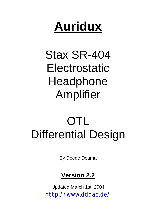## **Auridux**

## Stax SR-404 Electrostatic Headphone Amplifier

## OTL Differential Design

By Doede Douma

## **Version 2.2**

Updated March 1st, 2004 http://www.dddac.de/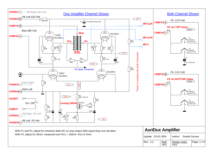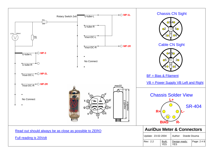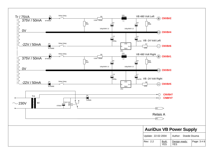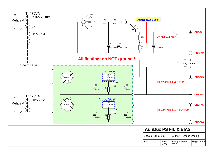